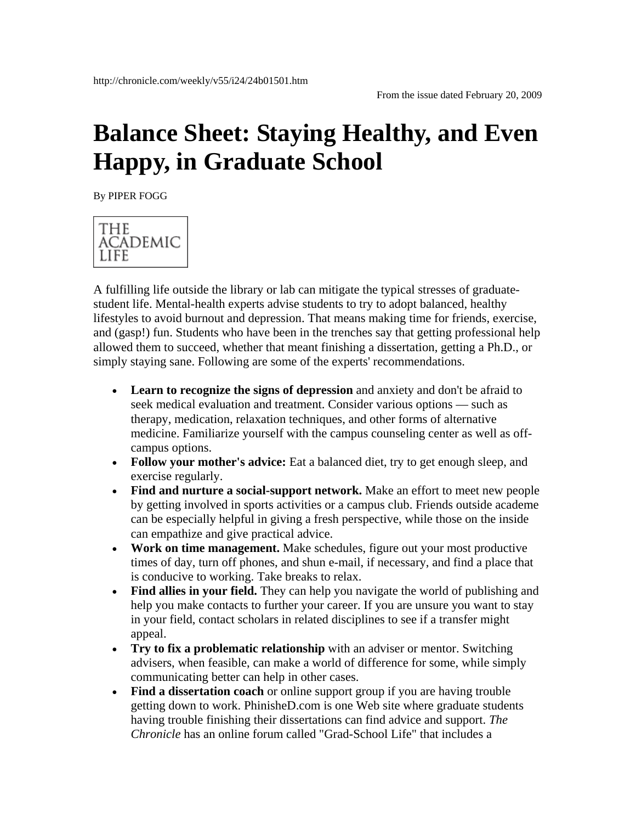## **Balance Sheet: Staying Healthy, and Even Happy, in Graduate School**

By PIPER FOGG



A fulfilling life outside the library or lab can mitigate the typical stresses of graduatestudent life. Mental-health experts advise students to try to adopt balanced, healthy lifestyles to avoid burnout and depression. That means making time for friends, exercise, and (gasp!) fun. Students who have been in the trenches say that getting professional help allowed them to succeed, whether that meant finishing a dissertation, getting a Ph.D., or simply staying sane. Following are some of the experts' recommendations.

- **Learn to recognize the signs of depression** and anxiety and don't be afraid to seek medical evaluation and treatment. Consider various options — such as therapy, medication, relaxation techniques, and other forms of alternative medicine. Familiarize yourself with the campus counseling center as well as offcampus options.
- **Follow your mother's advice:** Eat a balanced diet, try to get enough sleep, and exercise regularly.
- **Find and nurture a social-support network.** Make an effort to meet new people by getting involved in sports activities or a campus club. Friends outside academe can be especially helpful in giving a fresh perspective, while those on the inside can empathize and give practical advice.
- **Work on time management.** Make schedules, figure out your most productive times of day, turn off phones, and shun e-mail, if necessary, and find a place that is conducive to working. Take breaks to relax.
- **Find allies in your field.** They can help you navigate the world of publishing and help you make contacts to further your career. If you are unsure you want to stay in your field, contact scholars in related disciplines to see if a transfer might appeal.
- **Try to fix a problematic relationship** with an adviser or mentor. Switching advisers, when feasible, can make a world of difference for some, while simply communicating better can help in other cases.
- **Find a dissertation coach** or online support group if you are having trouble getting down to work. PhinisheD.com is one Web site where graduate students having trouble finishing their dissertations can find advice and support. *The Chronicle* has an online forum called "Grad-School Life" that includes a